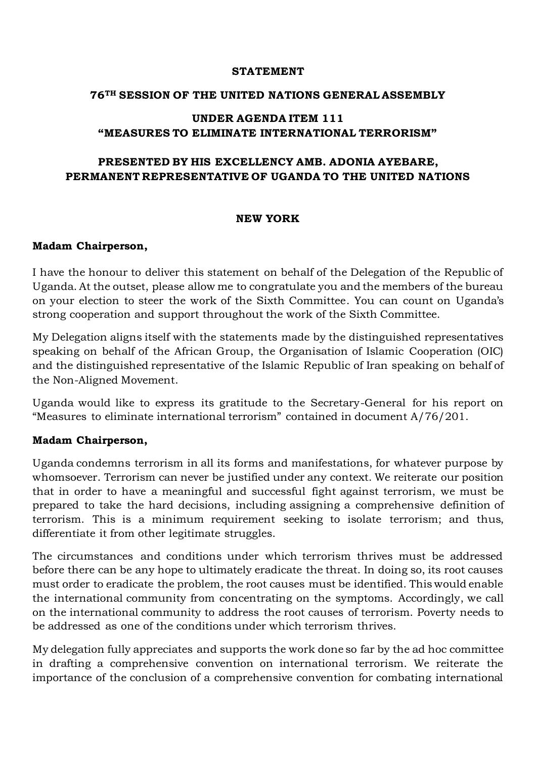#### **STATEMENT**

### **76TH SESSION OF THE UNITED NATIONS GENERAL ASSEMBLY**

### **UNDER AGENDA ITEM 111 "MEASURES TO ELIMINATE INTERNATIONAL TERRORISM"**

# **PRESENTED BY HIS EXCELLENCY AMB. ADONIA AYEBARE, PERMANENT REPRESENTATIVE OF UGANDA TO THE UNITED NATIONS**

### **NEW YORK**

### **Madam Chairperson,**

I have the honour to deliver this statement on behalf of the Delegation of the Republic of Uganda. At the outset, please allow me to congratulate you and the members of the bureau on your election to steer the work of the Sixth Committee. You can count on Uganda's strong cooperation and support throughout the work of the Sixth Committee.

My Delegation aligns itself with the statements made by the distinguished representatives speaking on behalf of the African Group, the Organisation of Islamic Cooperation (OIC) and the distinguished representative of the Islamic Republic of Iran speaking on behalf of the Non-Aligned Movement.

Uganda would like to express its gratitude to the Secretary-General for his report on "Measures to eliminate international terrorism" contained in document A/76/201.

#### **Madam Chairperson,**

Uganda condemns terrorism in all its forms and manifestations, for whatever purpose by whomsoever. Terrorism can never be justified under any context. We reiterate our position that in order to have a meaningful and successful fight against terrorism, we must be prepared to take the hard decisions, including assigning a comprehensive definition of terrorism. This is a minimum requirement seeking to isolate terrorism; and thus, differentiate it from other legitimate struggles.

The circumstances and conditions under which terrorism thrives must be addressed before there can be any hope to ultimately eradicate the threat. In doing so, its root causes must order to eradicate the problem, the root causes must be identified. This would enable the international community from concentrating on the symptoms. Accordingly, we call on the international community to address the root causes of terrorism. Poverty needs to be addressed as one of the conditions under which terrorism thrives.

My delegation fully appreciates and supports the work done so far by the ad hoc committee in drafting a comprehensive convention on international terrorism. We reiterate the importance of the conclusion of a comprehensive convention for combating international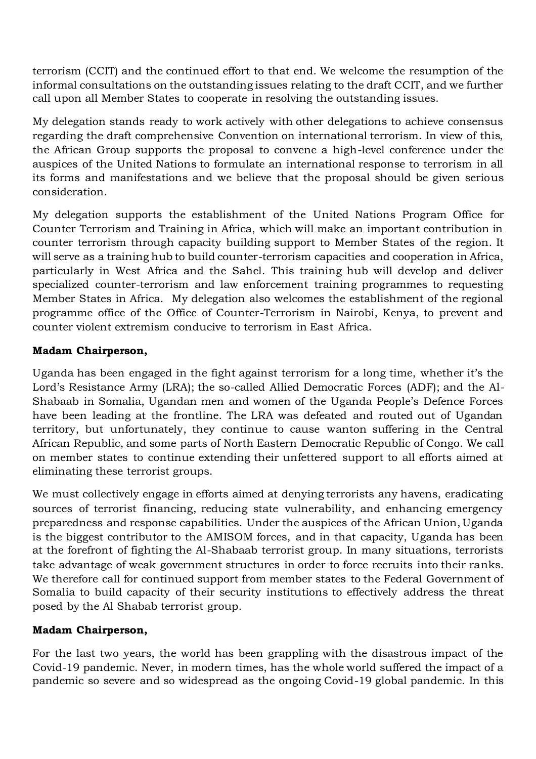terrorism (CCIT) and the continued effort to that end. We welcome the resumption of the informal consultations on the outstanding issues relating to the draft CCIT, and we further call upon all Member States to cooperate in resolving the outstanding issues.

My delegation stands ready to work actively with other delegations to achieve consensus regarding the draft comprehensive Convention on international terrorism. In view of this, the African Group supports the proposal to convene a high-level conference under the auspices of the United Nations to formulate an international response to terrorism in all its forms and manifestations and we believe that the proposal should be given serious consideration.

My delegation supports the establishment of the United Nations Program Office for Counter Terrorism and Training in Africa, which will make an important contribution in counter terrorism through capacity building support to Member States of the region. It will serve as a training hub to build counter-terrorism capacities and cooperation in Africa, particularly in West Africa and the Sahel. This training hub will develop and deliver specialized counter-terrorism and law enforcement training programmes to requesting Member States in Africa. My delegation also welcomes the establishment of the regional programme office of the Office of Counter-Terrorism in Nairobi, Kenya, to prevent and counter violent extremism conducive to terrorism in East Africa.

# **Madam Chairperson,**

Uganda has been engaged in the fight against terrorism for a long time, whether it's the Lord's Resistance Army (LRA); the so-called Allied Democratic Forces (ADF); and the Al-Shabaab in Somalia, Ugandan men and women of the Uganda People's Defence Forces have been leading at the frontline. The LRA was defeated and routed out of Ugandan territory, but unfortunately, they continue to cause wanton suffering in the Central African Republic, and some parts of North Eastern Democratic Republic of Congo. We call on member states to continue extending their unfettered support to all efforts aimed at eliminating these terrorist groups.

We must collectively engage in efforts aimed at denying terrorists any havens, eradicating sources of terrorist financing, reducing state vulnerability, and enhancing emergency preparedness and response capabilities. Under the auspices of the African Union, Uganda is the biggest contributor to the AMISOM forces, and in that capacity, Uganda has been at the forefront of fighting the Al-Shabaab terrorist group. In many situations, terrorists take advantage of weak government structures in order to force recruits into their ranks. We therefore call for continued support from member states to the Federal Government of Somalia to build capacity of their security institutions to effectively address the threat posed by the Al Shabab terrorist group.

## **Madam Chairperson,**

For the last two years, the world has been grappling with the disastrous impact of the Covid-19 pandemic. Never, in modern times, has the whole world suffered the impact of a pandemic so severe and so widespread as the ongoing Covid-19 global pandemic. In this